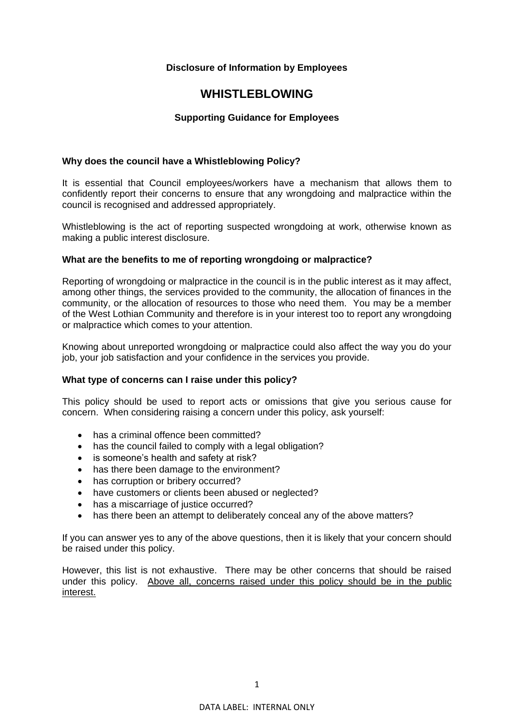# **Disclosure of Information by Employees**

# **WHISTLEBLOWING**

# **Supporting Guidance for Employees**

# **Why does the council have a Whistleblowing Policy?**

It is essential that Council employees/workers have a mechanism that allows them to confidently report their concerns to ensure that any wrongdoing and malpractice within the council is recognised and addressed appropriately.

Whistleblowing is the act of reporting suspected wrongdoing at work, otherwise known as making a public interest disclosure.

# **What are the benefits to me of reporting wrongdoing or malpractice?**

Reporting of wrongdoing or malpractice in the council is in the public interest as it may affect, among other things, the services provided to the community, the allocation of finances in the community, or the allocation of resources to those who need them. You may be a member of the West Lothian Community and therefore is in your interest too to report any wrongdoing or malpractice which comes to your attention.

Knowing about unreported wrongdoing or malpractice could also affect the way you do your job, your job satisfaction and your confidence in the services you provide.

## **What type of concerns can I raise under this policy?**

This policy should be used to report acts or omissions that give you serious cause for concern. When considering raising a concern under this policy, ask yourself:

- has a criminal offence been committed?
- has the council failed to comply with a legal obligation?
- is someone's health and safety at risk?
- has there been damage to the environment?
- has corruption or bribery occurred?
- have customers or clients been abused or neglected?
- has a miscarriage of justice occurred?
- has there been an attempt to deliberately conceal any of the above matters?

If you can answer yes to any of the above questions, then it is likely that your concern should be raised under this policy.

However, this list is not exhaustive. There may be other concerns that should be raised under this policy. Above all, concerns raised under this policy should be in the public interest.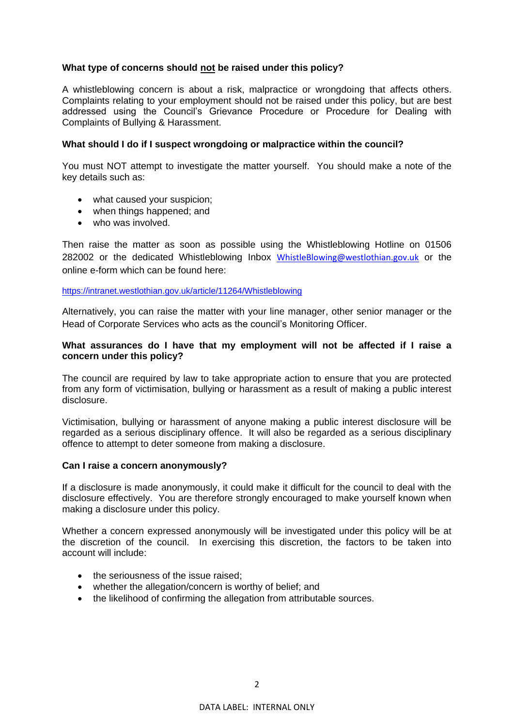# **What type of concerns should not be raised under this policy?**

A whistleblowing concern is about a risk, malpractice or wrongdoing that affects others. Complaints relating to your employment should not be raised under this policy, but are best addressed using the Council's Grievance Procedure or Procedure for Dealing with Complaints of Bullying & Harassment.

## **What should I do if I suspect wrongdoing or malpractice within the council?**

You must NOT attempt to investigate the matter yourself. You should make a note of the key details such as:

- what caused your suspicion;
- when things happened; and
- who was involved.

Then raise the matter as soon as possible using the Whistleblowing Hotline on 01506 282002 or the dedicated Whistleblowing Inbox [WhistleBlowing@westlothian.gov.uk](mailto:WhistleBlowing@westlothian.gov.uk) or the online e-form which can be found here:

## <https://intranet.westlothian.gov.uk/article/11264/Whistleblowing>

Alternatively, you can raise the matter with your line manager, other senior manager or the Head of Corporate Services who acts as the council's Monitoring Officer.

## **What assurances do I have that my employment will not be affected if I raise a concern under this policy?**

The council are required by law to take appropriate action to ensure that you are protected from any form of victimisation, bullying or harassment as a result of making a public interest disclosure.

Victimisation, bullying or harassment of anyone making a public interest disclosure will be regarded as a serious disciplinary offence. It will also be regarded as a serious disciplinary offence to attempt to deter someone from making a disclosure.

## **Can I raise a concern anonymously?**

If a disclosure is made anonymously, it could make it difficult for the council to deal with the disclosure effectively. You are therefore strongly encouraged to make yourself known when making a disclosure under this policy.

Whether a concern expressed anonymously will be investigated under this policy will be at the discretion of the council. In exercising this discretion, the factors to be taken into account will include:

- the seriousness of the issue raised;
- whether the allegation/concern is worthy of belief; and
- the likelihood of confirming the allegation from attributable sources.